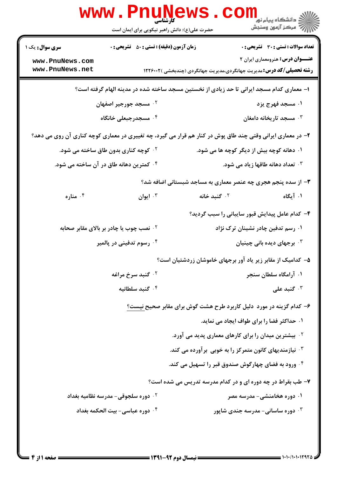| <b>www.PnuNews</b><br>ران دانشگاه پيام نور <mark>− ا</mark><br>ا <b>ر</b> درکز آزمون وسنجش<br>کا، شناسہ |                                                                                                             |                                                                              |                                                |  |  |
|---------------------------------------------------------------------------------------------------------|-------------------------------------------------------------------------------------------------------------|------------------------------------------------------------------------------|------------------------------------------------|--|--|
|                                                                                                         | حضرت علی(ع): دانش راهبر نیکویی برای ایمان است                                                               |                                                                              |                                                |  |  |
| <b>سری سوال :</b> یک ۱                                                                                  | <b>زمان آزمون (دقیقه) : تستی : 50 ٪ تشریحی : 0</b>                                                          |                                                                              | <b>تعداد سوالات : تستی : 30 ٪ تشریحی : 0</b>   |  |  |
| www.PnuNews.com<br>www.PnuNews.net                                                                      |                                                                                                             | <b>رشته تحصیلی/کد درس:</b> مدیریت جهانگردی،مدیریت جهانگردی (چندبخشی )۱۲۲۶۰۰۲ | <b>عنـــوان درس:</b> هنرومعماری ایران ۲        |  |  |
| ا– معماری کدام مسجد ایرانی تا حد زیادی از نخستین مسجد ساخته شده در مدینه الهام گرفته است؟               |                                                                                                             |                                                                              |                                                |  |  |
|                                                                                                         | ۰۲ مسجد جورجیر اصفهان                                                                                       |                                                                              | ۰۱ مسجد فهرج یزد                               |  |  |
|                                                                                                         | ۰۴ مسجدرجبعلی خانگاه                                                                                        |                                                                              | ۰۳ مسجد تاریخانه دامغان $\cdot$                |  |  |
|                                                                                                         | ۲- در معماری ایرانی وقتی چند طاق پوش در کنار هم قرار می گیرد، چه تغییری در معماری کوچه کناری آن روی می دهد؟ |                                                                              |                                                |  |  |
| <sup>۲ .</sup> کوچه کناری بدون طاق ساخته می شود.                                                        |                                                                                                             | ۰۱ دهانه کوچه بیش از دیگر کوچه ها می شود.                                    |                                                |  |  |
|                                                                                                         | <sup>۰۴</sup> کمترین دهانه طاق در آن ساخته می شود.                                                          |                                                                              | <b>۰۳ تعداد دهانه طاقها زیاد می شود.</b>       |  |  |
|                                                                                                         |                                                                                                             | ۳- از سده پنجم هجری چه عنصر معماری به مساجد شبستانی اضافه شد؟                |                                                |  |  |
| ۰۴ مناره                                                                                                | ۰۳ ایوان                                                                                                    | گنبد خانه $\cdot$ ۲                                                          | ۰۱ آیگاه                                       |  |  |
|                                                                                                         |                                                                                                             | ۴– کدام عامل پیدایش قبور سایبانی را سبب گردید؟                               |                                                |  |  |
|                                                                                                         | <sup>۲</sup> ۰ نصب چوب یا چادر بر بالای مقابر صحابه                                                         |                                                                              | ۰۱ رسم تدفین چادر نشینان ترک نژاد              |  |  |
|                                                                                                         | ۰۴ رسوم تدفینی در پالمیر                                                                                    |                                                                              | ۰ <sup>۳</sup> برجهای دیده بانی چینیان $\cdot$ |  |  |
|                                                                                                         |                                                                                                             | ۵− کدامیک از مقابر زیر یاد آور برجهای خاموشان زردشتیان است؟                  |                                                |  |  |
|                                                                                                         | ۰ <sup>۲</sup> گنبد سرخ مراغه                                                                               |                                                                              | ۰۱ آرامگاه سلطان سنجر                          |  |  |
|                                                                                                         | ۰۴ گنبد سلطانیه                                                                                             |                                                                              | گنبد علی $\cdot$                               |  |  |
|                                                                                                         |                                                                                                             | ۶– کدام گزینه در مورد ًدلیل کاربرد طرح هشت گوش برای مقابر صحیح نیست؟         |                                                |  |  |
|                                                                                                         |                                                                                                             | ۰۱ حداکثر فضا را برای طواف ایجاد می نماید.                                   |                                                |  |  |
|                                                                                                         |                                                                                                             | <sup>۲ .</sup> بیشترین میدان را برای کارهای معماری پدید می آورد.             |                                                |  |  |
|                                                                                                         |                                                                                                             | نیازمندیهای کانون متمرکز را به خوبی بر آورده می کند. $\cdot$                 |                                                |  |  |
|                                                                                                         |                                                                                                             | ۰۴ ورود به فضای چهارگوش صندوق قبر را تسهیل می کند.                           |                                                |  |  |
|                                                                                                         |                                                                                                             | ۷- طب بقراط در چه دوره ای و در کدام مدرسه تدریس می شده است؟                  |                                                |  |  |
|                                                                                                         | ۰ <sup>۲</sup> دوره سلجوقی- مدرسه نظامیه بغداد                                                              |                                                                              | ۰۱ دوره هخامنشی- مدرسه مصر                     |  |  |
|                                                                                                         | ۰۴ دوره عباسی- بیت الحکمه بغداد                                                                             |                                                                              | ۰۳ دوره ساسانی- مدرسه جندی شاپور               |  |  |
|                                                                                                         |                                                                                                             |                                                                              |                                                |  |  |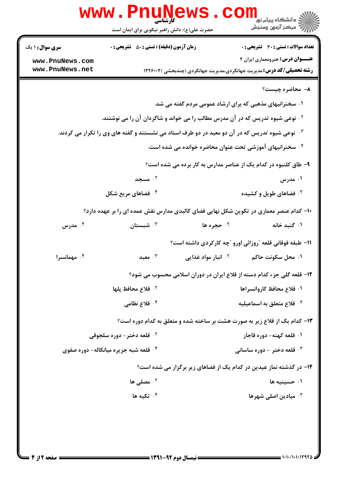|                                                                                                              | <b>WWW . PILUIV</b><br>حضرت علی(ع): دانش راهبر نیکویی برای ایمان است         |                                                                        | ڪ دانشڪاه پيا <sub>م</sub> نور<br>7 مرڪز آزمون وسنڊش                                   |  |
|--------------------------------------------------------------------------------------------------------------|------------------------------------------------------------------------------|------------------------------------------------------------------------|----------------------------------------------------------------------------------------|--|
| <b>سری سوال : ۱ یک</b>                                                                                       | <b>زمان آزمون (دقیقه) : تستی : 50 ٪ تشریحی : 0</b>                           |                                                                        | <b>تعداد سوالات : تستی : 30 ٪ تشریحی : 0</b>                                           |  |
| www.PnuNews.com                                                                                              |                                                                              |                                                                        | <b>عنـــوان درس:</b> هنرومعماری ایران ۲                                                |  |
| www.PnuNews.net                                                                                              | <b>رشته تحصیلی/کد درس:</b> مدیریت جهانگردی،مدیریت جهانگردی (چندبخشی )۱۲۲۶۰۰۲ |                                                                        |                                                                                        |  |
|                                                                                                              |                                                                              |                                                                        | ۸- محاضره چیست؟                                                                        |  |
|                                                                                                              |                                                                              | ۰۱ سخنرانیهای مذهبی که برای ارشاد عمومی مردم گفته می شد.               |                                                                                        |  |
| <sup>۲ .</sup> نوعی شیوه تدریس که در آن مدرس مطالب را می خواند و شاگردان آن را می نوشتند.                    |                                                                              |                                                                        |                                                                                        |  |
| ۰ <sup>۳ .</sup> نوعی شیوه تدریس که در آن دو معید در دو طرف استاد می نشستند و گفته های وی را تکرار می کردند. |                                                                              |                                                                        |                                                                                        |  |
| ۰۴ سخنرانیهای آموزشی تحت عنوان محاضره خوانده می شده است.                                                     |                                                                              |                                                                        |                                                                                        |  |
| ۹- طاق کلنبوه در کدام یک از عناصر مدارس به کار برده می شده است؟                                              |                                                                              |                                                                        |                                                                                        |  |
|                                                                                                              | ۰۲ مسجد                                                                      |                                                                        | ۰۱ مدرس                                                                                |  |
|                                                                                                              | ۰ <sup>۴</sup> فضاهای مریع شکل                                               |                                                                        | ۰۳ فضاهای طویل و کشیده                                                                 |  |
|                                                                                                              |                                                                              |                                                                        | ∙ا– کدام عنصر معماری در تکوین شکل نهایی فضای کالبدی مدارس نقش عمده ای را بر عهده دارد؟ |  |
| مدرس $\cdot$ $^{\mathsf{F}}$                                                                                 | شبستان $\cdot^{\texttt{v}}$                                                  | ۰۲ حجره ها                                                             | ۰۱ گنبد خانه                                                                           |  |
|                                                                                                              |                                                                              |                                                                        | 11- طبقه فوقانی قلعه ″روزائی اورو ″چه کارکردی داشته است؟                               |  |
| ۰۴ مهمانسرا                                                                                                  | معبد $\cdot$ ۳                                                               | ۰ <sup>۲</sup> انبار مواد غذایی                                        | ۰۱ محل سکونت حاکم                                                                      |  |
|                                                                                                              |                                                                              | ۱۲- قلعه گلی جزء کدام دسته از قلاع ایران در دوران اسلامی محسوب می شود؟ |                                                                                        |  |
|                                                                                                              | <sup>٢</sup> ٠ قلاع محافظ پلها                                               |                                                                        | ١. قلاع محافظ كاروانسراها                                                              |  |
|                                                                                                              | ۰ <sup>۴</sup> قلاع نظامی                                                    |                                                                        | $^\circ$ قلاع متعلق به اسماعیلیه $^\circ$                                              |  |
|                                                                                                              |                                                                              |                                                                        | ۱۳- کدام یک از قلاع زیر به صورت هشت بر ساخته شده و متعلق به کدام دوره است؟             |  |
| <b>10 قلعه دختر - دوره سلجوقي</b>                                                                            |                                                                              |                                                                        | ۰۱ قلعه کهنه- دوره قاجار                                                               |  |
| <b>۴ قلعه شبه جزیره میانکاله- دوره صفوی</b>                                                                  |                                                                              |                                                                        | قلعه دختر - دوره ساسانی $\cdot^{\mathsf{v}}$                                           |  |
| ۱۴- در گذشته نماز عیدین در کدام یک از فضاهای زیر برگزار می شده است؟                                          |                                                                              |                                                                        |                                                                                        |  |
|                                                                                                              | ۰۲ مصلی ها $\cdot$ ۲                                                         |                                                                        | ۰۱ حسینیه ها                                                                           |  |
|                                                                                                              | $^{\mathsf{4}}$ تکیه ها $^{\mathsf{6}}$                                      |                                                                        | ۰ <sup>۳</sup> میادین اصلی شهرها                                                       |  |
|                                                                                                              |                                                                              |                                                                        |                                                                                        |  |
|                                                                                                              |                                                                              |                                                                        |                                                                                        |  |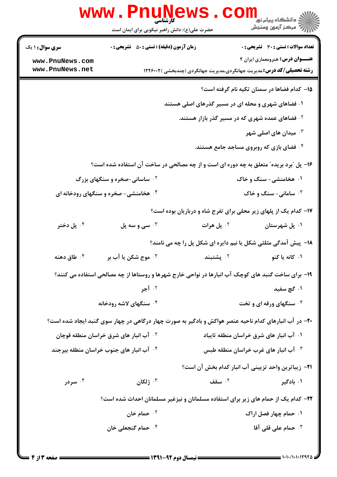| <b>WWW.Pnune</b>                                                                      | ڪ دانشڪاه پيا <sub>م</sub> نور<br><mark>∕</mark> 7 مرڪز آزمون وسنڊش<br>حضرت علی(ع): دانش راهبر نیکویی برای ایمان است |  |  |  |
|---------------------------------------------------------------------------------------|----------------------------------------------------------------------------------------------------------------------|--|--|--|
| <b>زمان آزمون (دقیقه) : تستی : 50 ٪ تشریحی : 0</b><br><b>سری سوال : ۱ یک</b>          | <b>تعداد سوالات : تستی : 30 ٪ تشریحی : 0</b>                                                                         |  |  |  |
| www.PnuNews.com                                                                       | <b>عنـــوان درس:</b> هنرومعماری ایران ۲                                                                              |  |  |  |
| www.PnuNews.net                                                                       | <b>رشته تحصیلی/کد درس:</b> مدیریت جهانگردی،مدیریت جهانگردی (چندبخشی )۱۲۲۶۰۰۲                                         |  |  |  |
|                                                                                       | 1۵– کدام فضاها در سمنان تکیه نام گرفته است؟                                                                          |  |  |  |
| ۰۱ فضاهای شهری و محله ای در مسیر گذرهای اصلی هستند                                    |                                                                                                                      |  |  |  |
| <sup>۲</sup> ۰ فضاهای عمده شهری که در مسیر گذر بازار هستند.                           |                                                                                                                      |  |  |  |
|                                                                                       | میدان های اصلی شهر $\cdot^{\mathsf{y}}$                                                                              |  |  |  |
|                                                                                       | ۰۴ فضای بازی که روبروی مساجد جامع هستند.                                                                             |  |  |  |
| ۱۶- پل "برد بریده" متعلق به چه دوره ای است و از چه مصالحی در ساخت آن استفاده شده است؟ |                                                                                                                      |  |  |  |
| <b>گ ساسانی-صخره و سنگهای بزرگ</b>                                                    | ۰۱ هخامنشی- سنگ و خاک                                                                                                |  |  |  |
| ۰۴ هخامنشی- صخره و سنگهای رودخانه ای                                                  | ۰۳ سامانی- سنگ و خاک                                                                                                 |  |  |  |
|                                                                                       | ۱۷- کدام یک از پلهای زیر محلی برای تفرج شاه و درباریان بوده است؟                                                     |  |  |  |
| ۰ <sup>۴</sup> پل دختر<br>سی و سه پل $\cdot^{\mathsf{v}}$                             | ۰ <sup>۲</sup> پل هرات<br>۰۱ پل شهرستان                                                                              |  |  |  |
|                                                                                       | 18- پیش آمدگی مثلثی شکل یا نیم دایره ای شکل پل را چه می نامند؟                                                       |  |  |  |
| موج شکن یا آب بر $\cdot$<br>طاق دهنه $\cdot$ ۴                                        | ۰۱ کانه یا کنو<br>۰۲ پشتبند                                                                                          |  |  |  |
|                                                                                       | ۱۹- برای ساخت گنبد های کوچک آب انبارها در نواحی خارج شهرها و روستاها از چه مصالحی استفاده می کنند؟                   |  |  |  |
| ۰۲ آجر                                                                                | ۰۱ گچ سفید                                                                                                           |  |  |  |
| ۰۴ سنگهای لاشه رودخانه                                                                | <b>۰۳ سنگهای ورقه ای و تخت</b>                                                                                       |  |  |  |
|                                                                                       | ۲۰- در آب انبارهای کدام ناحیه عنصر هواکش و بادگیر به صورت چهار درگاهی در چهار سوی گنبد ایجاد شده است؟                |  |  |  |
| <sup>۲ .</sup> آب انبار های شرق خراسان منطقه قوچان                                    | ۰۱ آب انبار های شرق خراسان منطقه تایباد                                                                              |  |  |  |
| ۰۴ آب انبار های جنوب خراسان منطقه بیرجند                                              | ا آب انبار های غرب خراسان منطقه طبس $\cdot$                                                                          |  |  |  |
|                                                                                       | <b>٢١</b> - زيباترين واحد تزييني آب انبار كدام بخش آن است؟                                                           |  |  |  |
| ۰۳ ژلکان<br>۰۴ سردر                                                                   | ۰۲ سقف<br>۰۱ بادگیر                                                                                                  |  |  |  |
|                                                                                       | ۲۲– کدام یک از حمام های زیر برای استفاده مسلمانان و نیزغیر مسلمانان احداث شده است؟                                   |  |  |  |
| حمام خان $\cdot$ ۲                                                                    | ۰۱ حمام چهار فصل اراک                                                                                                |  |  |  |
| ۰ <sup>۴</sup> حمام گنجعلی خان                                                        | حمام على قلى آقا $\cdot^7$                                                                                           |  |  |  |
|                                                                                       |                                                                                                                      |  |  |  |